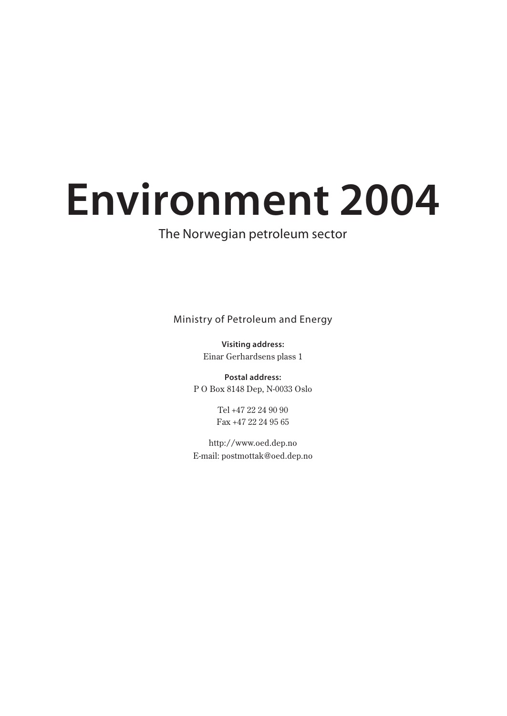# **Environment 2004**

### The Norwegian petroleum sector

Ministry of Petroleum and Energy

**Visiting address:** Einar Gerhardsens plass 1

**Postal address:** P O Box 8148 Dep, N-0033 Oslo

> Tel +47 22 24 90 90 Fax +47 22 24 95 65

http://www.oed.dep.no E-mail: postmottak@oed.dep.no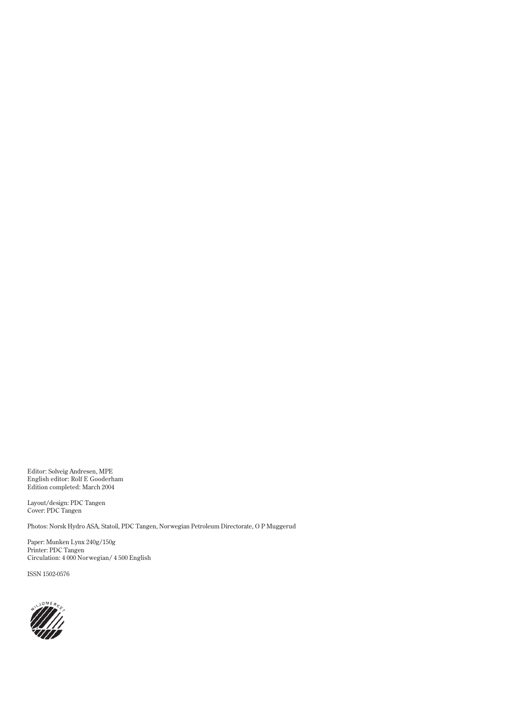Editor: Solveig Andresen, MPE English editor: Rolf E Gooderham Edition completed: March 2004

Layout/design: PDC Tangen Cover: PDC Tangen

Photos: Norsk Hydro ASA, Statoil, PDC Tangen, Norwegian Petroleum Directorate, O P Muggerud

Paper: Munken Lynx 240g/150g Printer: PDC Tangen Circulation: 4 000 Norwegian/ 4 500 English

ISSN 1502-0576

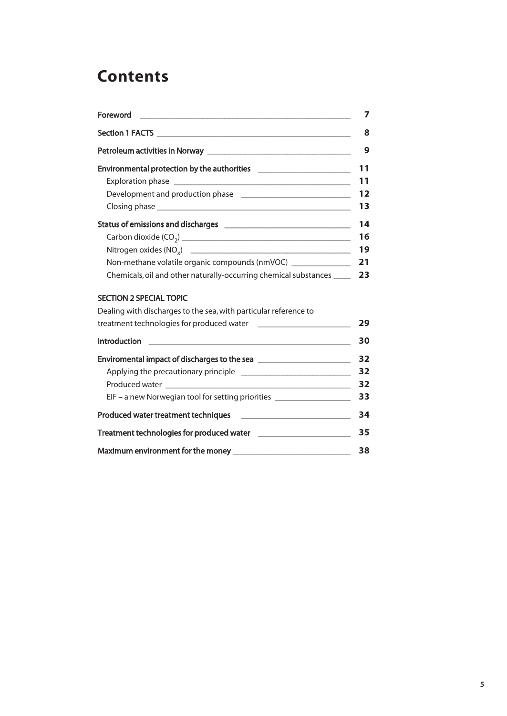### **Contents**

| Foreword                                                                            |    |
|-------------------------------------------------------------------------------------|----|
|                                                                                     | 8  |
|                                                                                     | 9  |
|                                                                                     | 11 |
|                                                                                     | 11 |
|                                                                                     | 12 |
|                                                                                     | 13 |
| Status of emissions and discharges <b>contained a material container and status</b> | 14 |
|                                                                                     | 16 |
|                                                                                     | 19 |
| Non-methane volatile organic compounds (nmVOC)                                      | 21 |
| Chemicals, oil and other naturally-occurring chemical substances                    | 23 |

### SECTION 2 SPECIAL TOPIC

| Dealing with discharges to the sea, with particular reference to |    |
|------------------------------------------------------------------|----|
| treatment technologies for produced water                        | 29 |
|                                                                  | 30 |
| Enviromental impact of discharges to the sea                     | 32 |
| Applying the precautionary principle                             | 32 |
|                                                                  | 32 |
| EIF – a new Norwegian tool for setting priorities                | 33 |
|                                                                  | 34 |
|                                                                  | 35 |
|                                                                  | 38 |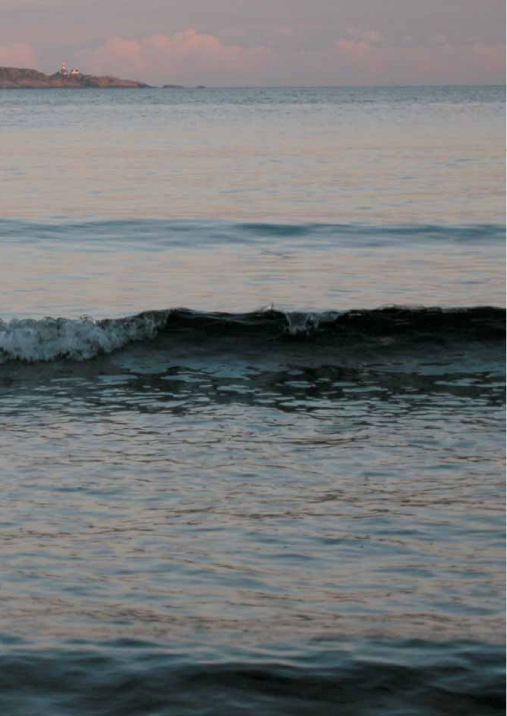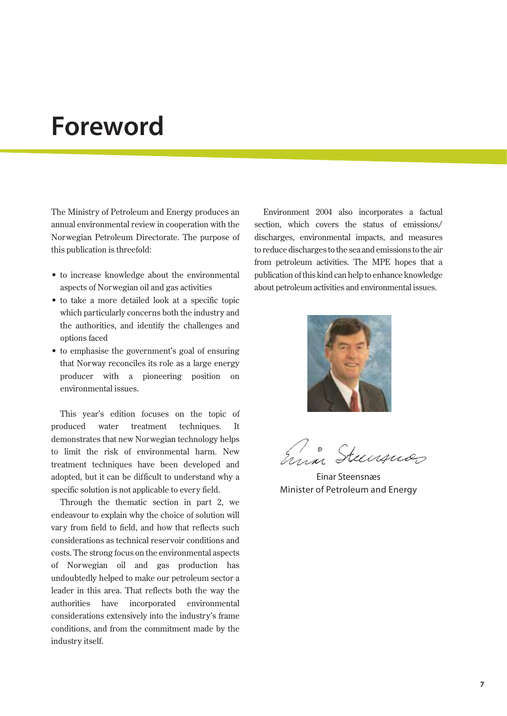# **Foreword**

The Ministry of Petroleum and Energy produces an annual environmental review in cooperation with the Norwegian Petroleum Directorate. The purpose of this publication is threefold:

- to increase knowledge about the environmental aspects of Norwegian oil and gas activities
- to take a more detailed look at a specific topic which particularly concerns both the industry and the authorities, and identify the challenges and options faced
- to emphasise the government's goal of ensuring that Norway reconciles its role as a large energy producer with a pioneering position on environmental issues.

This year's edition focuses on the topic of produced water treatment techniques. It demonstrates that new Norwegian technology helps to limit the risk of environmental harm. New treatment techniques have been developed and adopted, but it can be difficult to understand why a specific solution is not applicable to every field.

Through the thematic section in part 2, we endeavour to explain why the choice of solution will vary from field to field, and how that reflects such considerations as technical reservoir conditions and costs. The strong focus on the environmental aspects of Norwegian oil and gas production has undoubtedly helped to make our petroleum sector a leader in this area. That reflects both the way the authorities have incorporated environmental considerations extensively into the industry's frame conditions, and from the commitment made by the industry itself.

Environment 2004 also incorporates a factual section, which covers the status of emissions/ discharges, environmental impacts, and measures to reduce discharges to the sea and emissions to the air from petroleum activities. The MPE hopes that a publication of this kind can help to enhance knowledge about petroleum activities and environmental issues.



Stummer  $\hat{z}$ 

Einar Steensnæs Minister of Petroleum and Energy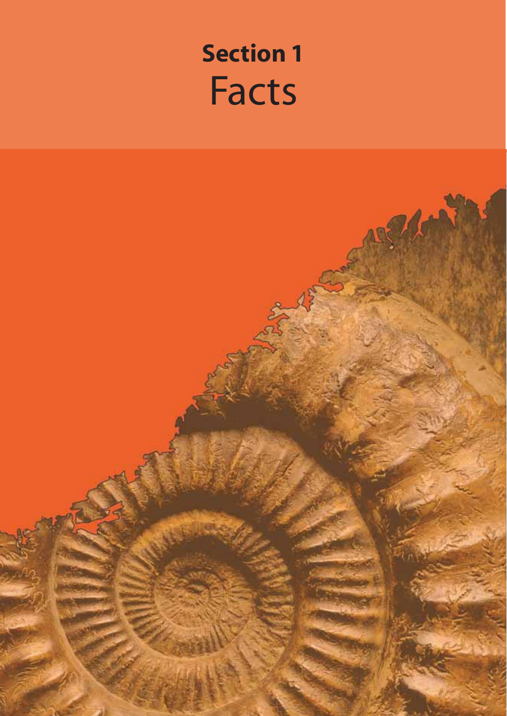# **Section 1** Facts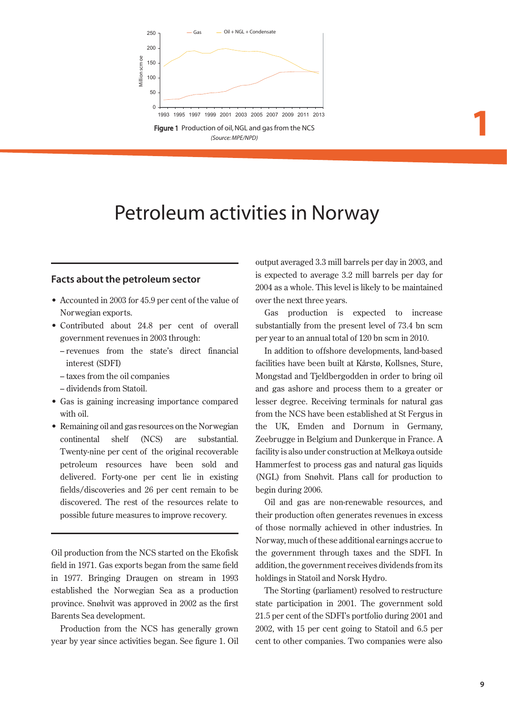

### Petroleum activities in Norway

### **Facts about the petroleum sector**

- Accounted in 2003 for 45.9 per cent of the value of Norwegian exports.
- Contributed about 24.8 per cent of overall government revenues in 2003 through:
	- revenues from the state's direct financial interest (SDFI)
	- taxes from the oil companies
	- dividends from Statoil.
- Gas is gaining increasing importance compared with oil.
- Remaining oil and gas resources on the Norwegian continental shelf (NCS) are substantial. Twenty-nine per cent of the original recoverable petroleum resources have been sold and delivered. Forty-one per cent lie in existing fields/discoveries and 26 per cent remain to be discovered. The rest of the resources relate to possible future measures to improve recovery.

Oil production from the NCS started on the Ekofisk field in 1971. Gas exports began from the same field in 1977. Bringing Draugen on stream in 1993 established the Norwegian Sea as a production province. Snøhvit was approved in 2002 as the first Barents Sea development.

Production from the NCS has generally grown year by year since activities began. See figure 1. Oil output averaged 3.3 mill barrels per day in 2003, and is expected to average 3.2 mill barrels per day for 2004 as a whole. This level is likely to be maintained over the next three years.

Gas production is expected to increase substantially from the present level of 73.4 bn scm per year to an annual total of 120 bn scm in 2010.

In addition to offshore developments, land-based facilities have been built at Kårstø, Kollsnes, Sture, Mongstad and Tjeldbergodden in order to bring oil and gas ashore and process them to a greater or lesser degree. Receiving terminals for natural gas from the NCS have been established at St Fergus in the UK, Emden and Dornum in Germany, Zeebrugge in Belgium and Dunkerque in France. A facility is also under construction at Melkøya outside Hammerfest to process gas and natural gas liquids (NGL) from Snøhvit. Plans call for production to begin during 2006.

Oil and gas are non-renewable resources, and their production often generates revenues in excess of those normally achieved in other industries. In Norway, much of these additional earnings accrue to the government through taxes and the SDFI. In addition, the government receives dividends from its holdings in Statoil and Norsk Hydro.

The Storting (parliament) resolved to restructure state participation in 2001. The government sold 21.5 per cent of the SDFI's portfolio during 2001 and 2002, with 15 per cent going to Statoil and 6.5 per cent to other companies. Two companies were also

**9**

**1**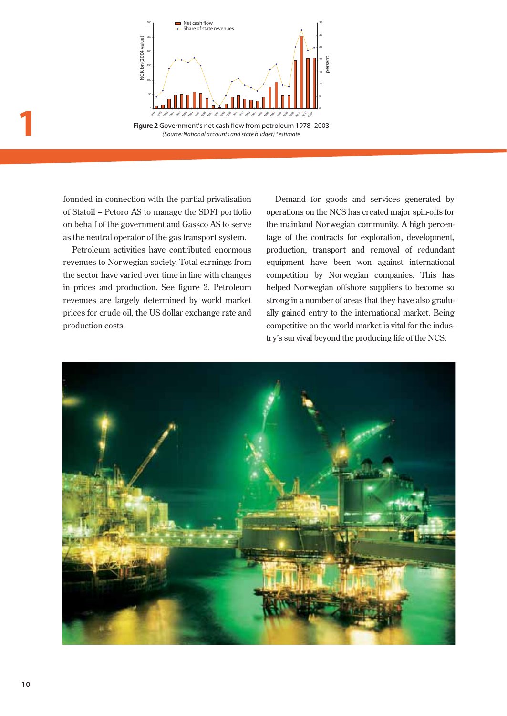

founded in connection with the partial privatisation of Statoil – Petoro AS to manage the SDFI portfolio on behalf of the government and Gassco AS to serve as the neutral operator of the gas transport system.

Petroleum activities have contributed enormous revenues to Norwegian society. Total earnings from the sector have varied over time in line with changes in prices and production. See figure 2. Petroleum revenues are largely determined by world market prices for crude oil, the US dollar exchange rate and production costs.

Demand for goods and services generated by operations on the NCS has created major spin-offs for the mainland Norwegian community. A high percentage of the contracts for exploration, development, production, transport and removal of redundant equipment have been won against international competition by Norwegian companies. This has helped Norwegian offshore suppliers to become so strong in a number of areas that they have also gradually gained entry to the international market. Being competitive on the world market is vital for the industry's survival beyond the producing life of the NCS.



**1**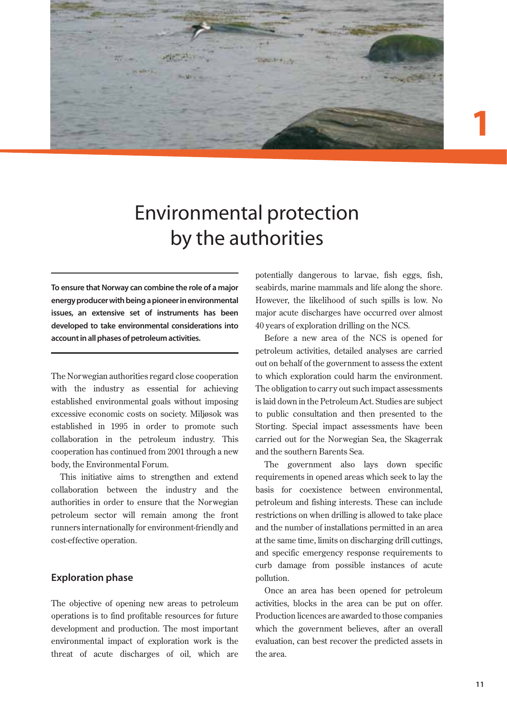

## Environmental protection by the authorities

**To ensure that Norway can combine the role of a major energy producer with being a pioneer in environmental issues, an extensive set of instruments has been developed to take environmental considerations into account in all phases of petroleum activities.**

The Norwegian authorities regard close cooperation with the industry as essential for achieving established environmental goals without imposing excessive economic costs on society. Miljøsok was established in 1995 in order to promote such collaboration in the petroleum industry. This cooperation has continued from 2001 through a new body, the Environmental Forum.

This initiative aims to strengthen and extend collaboration between the industry and the authorities in order to ensure that the Norwegian petroleum sector will remain among the front runners internationally for environment-friendly and cost-effective operation.

### **Exploration phase**

The objective of opening new areas to petroleum operations is to find profitable resources for future development and production. The most important environmental impact of exploration work is the threat of acute discharges of oil, which are potentially dangerous to larvae, fish eggs, fish, seabirds, marine mammals and life along the shore. However, the likelihood of such spills is low. No major acute discharges have occurred over almost 40 years of exploration drilling on the NCS.

Before a new area of the NCS is opened for petroleum activities, detailed analyses are carried out on behalf of the government to assess the extent to which exploration could harm the environment. The obligation to carry out such impact assessments is laid down in the Petroleum Act. Studies are subject to public consultation and then presented to the Storting. Special impact assessments have been carried out for the Norwegian Sea, the Skagerrak and the southern Barents Sea.

The government also lays down specific requirements in opened areas which seek to lay the basis for coexistence between environmental, petroleum and fishing interests. These can include restrictions on when drilling is allowed to take place and the number of installations permitted in an area at the same time, limits on discharging drill cuttings, and specific emergency response requirements to curb damage from possible instances of acute pollution.

Once an area has been opened for petroleum activities, blocks in the area can be put on offer. Production licences are awarded to those companies which the government believes, after an overall evaluation, can best recover the predicted assets in the area.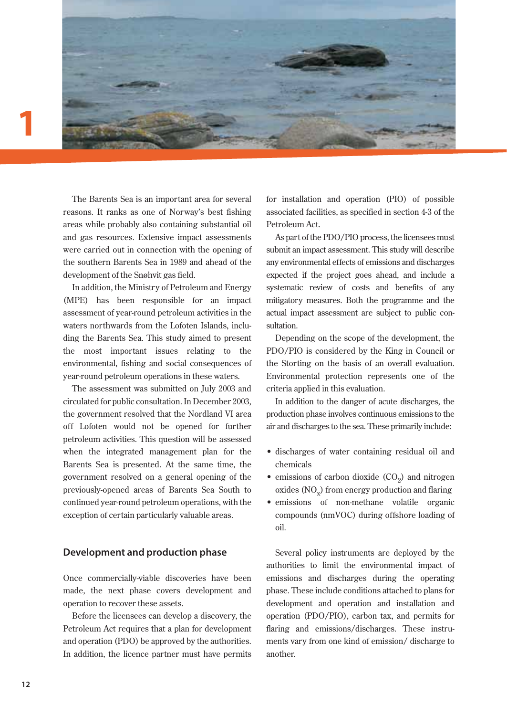

**1**

The Barents Sea is an important area for several reasons. It ranks as one of Norway's best fishing areas while probably also containing substantial oil and gas resources. Extensive impact assessments were carried out in connection with the opening of the southern Barents Sea in 1989 and ahead of the development of the Snøhvit gas field.

In addition, the Ministry of Petroleum and Energy (MPE) has been responsible for an impact assessment of year-round petroleum activities in the waters northwards from the Lofoten Islands, including the Barents Sea. This study aimed to present the most important issues relating to the environmental, fishing and social consequences of year-round petroleum operations in these waters.

The assessment was submitted on July 2003 and circulated for public consultation. In December 2003, the government resolved that the Nordland VI area off Lofoten would not be opened for further petroleum activities. This question will be assessed when the integrated management plan for the Barents Sea is presented. At the same time, the government resolved on a general opening of the previously-opened areas of Barents Sea South to continued year-round petroleum operations, with the exception of certain particularly valuable areas.

### **Development and production phase**

Once commercially-viable discoveries have been made, the next phase covers development and operation to recover these assets.

Before the licensees can develop a discovery, the Petroleum Act requires that a plan for development and operation (PDO) be approved by the authorities. In addition, the licence partner must have permits for installation and operation (PIO) of possible associated facilities, as specified in section 4-3 of the Petroleum Act.

As part of the PDO/PIO process, the licensees must submit an impact assessment. This study will describe any environmental effects of emissions and discharges expected if the project goes ahead, and include a systematic review of costs and benefits of any mitigatory measures. Both the programme and the actual impact assessment are subject to public consultation.

Depending on the scope of the development, the PDO/PIO is considered by the King in Council or the Storting on the basis of an overall evaluation. Environmental protection represents one of the criteria applied in this evaluation.

In addition to the danger of acute discharges, the production phase involves continuous emissions to the air and discharges to the sea. These primarily include:

- discharges of water containing residual oil and chemicals
- emissions of carbon dioxide  $(CO<sub>2</sub>)$  and nitrogen  $\alpha$ xides  $(NO_x)$  from energy production and flaring
- emissions of non-methane volatile organic compounds (nmVOC) during offshore loading of oil.

Several policy instruments are deployed by the authorities to limit the environmental impact of emissions and discharges during the operating phase. These include conditions attached to plans for development and operation and installation and operation (PDO/PIO), carbon tax, and permits for flaring and emissions/discharges. These instruments vary from one kind of emission/ discharge to another.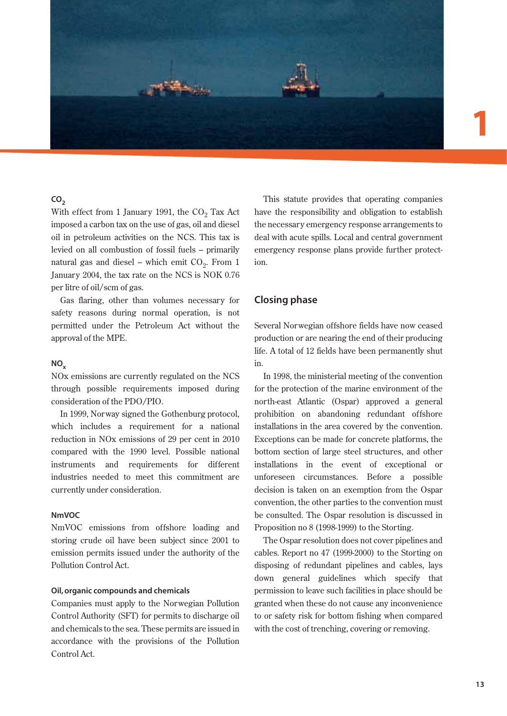

### **CO<sub>2</sub>**

With effect from 1 January 1991, the  $CO<sub>2</sub>$  Tax Act imposed a carbon tax on the use of gas, oil and diesel oil in petroleum activities on the NCS. This tax is levied on all combustion of fossil fuels – primarily natural gas and diesel – which emit  $CO<sub>2</sub>$ . From 1 January 2004, the tax rate on the NCS is NOK 0.76 per litre of oil/scm of gas.

Gas flaring, other than volumes necessary for safety reasons during normal operation, is not permitted under the Petroleum Act without the approval of the MPE.

### **NO**<sub>y</sub>

NOx emissions are currently regulated on the NCS through possible requirements imposed during consideration of the PDO/PIO.

In 1999, Norway signed the Gothenburg protocol, which includes a requirement for a national reduction in NOx emissions of 29 per cent in 2010 compared with the 1990 level. Possible national instruments and requirements for different industries needed to meet this commitment are currently under consideration.

### **NmVOC**

NmVOC emissions from offshore loading and storing crude oil have been subject since 2001 to emission permits issued under the authority of the Pollution Control Act.

#### **Oil, organic compounds and chemicals**

Companies must apply to the Norwegian Pollution Control Authority (SFT) for permits to discharge oil and chemicals to the sea. These permits are issued in accordance with the provisions of the Pollution Control Act.

This statute provides that operating companies have the responsibility and obligation to establish the necessary emergency response arrangements to deal with acute spills. Local and central government emergency response plans provide further protection.

### **Closing phase**

Several Norwegian offshore fields have now ceased production or are nearing the end of their producing life. A total of 12 fields have been permanently shut in.

In 1998, the ministerial meeting of the convention for the protection of the marine environment of the north-east Atlantic (Ospar) approved a general prohibition on abandoning redundant offshore installations in the area covered by the convention. Exceptions can be made for concrete platforms, the bottom section of large steel structures, and other installations in the event of exceptional or unforeseen circumstances. Before a possible decision is taken on an exemption from the Ospar convention, the other parties to the convention must be consulted. The Ospar resolution is discussed in Proposition no 8 (1998-1999) to the Storting.

The Ospar resolution does not cover pipelines and cables. Report no 47 (1999-2000) to the Storting on disposing of redundant pipelines and cables, lays down general guidelines which specify that permission to leave such facilities in place should be granted when these do not cause any inconvenience to or safety risk for bottom fishing when compared with the cost of trenching, covering or removing.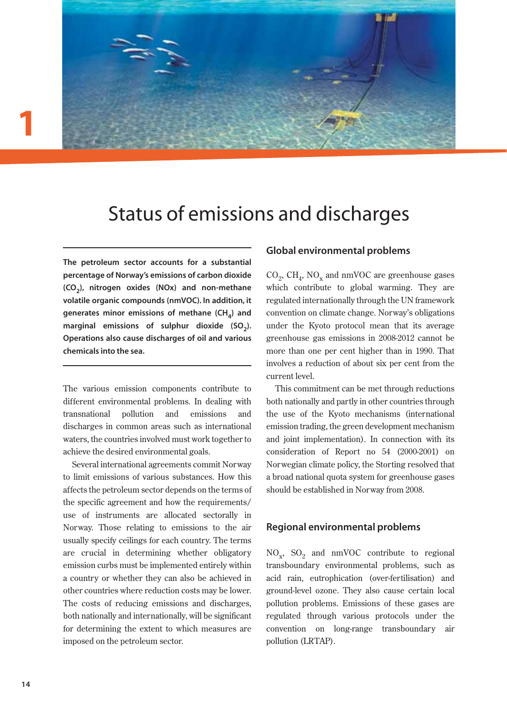

### Status of emissions and discharges

**The petroleum sector accounts for a substantial percentage of Norway's emissions of carbon dioxide (CO2), nitrogen oxides (NOx) and non-methane volatile organic compounds (nmVOC). In addition, it** generates minor emissions of methane (CH<sub>4</sub>) and marginal emissions of sulphur dioxide (SO<sub>2</sub>). **Operations also cause discharges of oil and various chemicals into the sea.**

The various emission components contribute to different environmental problems. In dealing with transnational pollution and emissions and discharges in common areas such as international waters, the countries involved must work together to achieve the desired environmental goals.

Several international agreements commit Norway to limit emissions of various substances. How this affects the petroleum sector depends on the terms of the specific agreement and how the requirements/ use of instruments are allocated sectorally in Norway. Those relating to emissions to the air usually specify ceilings for each country. The terms are crucial in determining whether obligatory emission curbs must be implemented entirely within a country or whether they can also be achieved in other countries where reduction costs may be lower. The costs of reducing emissions and discharges, both nationally and internationally, will be significant for determining the extent to which measures are imposed on the petroleum sector.

### **Global environmental problems**

 $CO<sub>2</sub>$ ,  $CH<sub>4</sub>$ , NO<sub>y</sub> and nmVOC are greenhouse gases which contribute to global warming. They are regulated internationally through the UN framework convention on climate change. Norway's obligations under the Kyoto protocol mean that its average greenhouse gas emissions in 2008-2012 cannot be more than one per cent higher than in 1990. That involves a reduction of about six per cent from the current level.

This commitment can be met through reductions both nationally and partly in other countries through the use of the Kyoto mechanisms (international emission trading, the green development mechanism and joint implementation). In connection with its consideration of Report no 54 (2000-2001) on Norwegian climate policy, the Storting resolved that a broad national quota system for greenhouse gases should be established in Norway from 2008.

### **Regional environmental problems**

 $NO<sub>x</sub>$ ,  $SO<sub>2</sub>$  and nmVOC contribute to regional transboundary environmental problems, such as acid rain, eutrophication (over-fertilisation) and ground-level ozone. They also cause certain local pollution problems. Emissions of these gases are regulated through various protocols under the convention on long-range transboundary air pollution (LRTAP).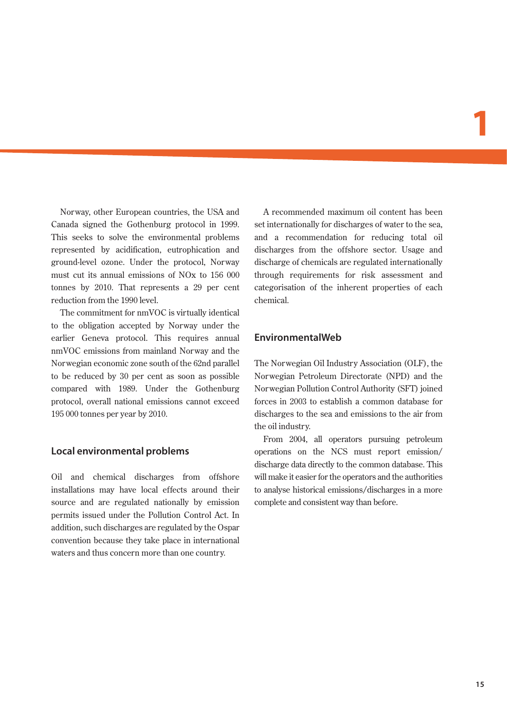Norway, other European countries, the USA and Canada signed the Gothenburg protocol in 1999. This seeks to solve the environmental problems represented by acidification, eutrophication and ground-level ozone. Under the protocol, Norway must cut its annual emissions of NOx to 156 000 tonnes by 2010. That represents a 29 per cent reduction from the 1990 level.

The commitment for nmVOC is virtually identical to the obligation accepted by Norway under the earlier Geneva protocol. This requires annual nmVOC emissions from mainland Norway and the Norwegian economic zone south of the 62nd parallel to be reduced by 30 per cent as soon as possible compared with 1989. Under the Gothenburg protocol, overall national emissions cannot exceed 195 000 tonnes per year by 2010.

### **Local environmental problems**

Oil and chemical discharges from offshore installations may have local effects around their source and are regulated nationally by emission permits issued under the Pollution Control Act. In addition, such discharges are regulated by the Ospar convention because they take place in international waters and thus concern more than one country.

A recommended maximum oil content has been set internationally for discharges of water to the sea, and a recommendation for reducing total oil discharges from the offshore sector. Usage and discharge of chemicals are regulated internationally through requirements for risk assessment and categorisation of the inherent properties of each chemical.

### **EnvironmentalWeb**

The Norwegian Oil Industry Association (OLF), the Norwegian Petroleum Directorate (NPD) and the Norwegian Pollution Control Authority (SFT) joined forces in 2003 to establish a common database for discharges to the sea and emissions to the air from the oil industry.

From 2004, all operators pursuing petroleum operations on the NCS must report emission/ discharge data directly to the common database. This will make it easier for the operators and the authorities to analyse historical emissions/discharges in a more complete and consistent way than before.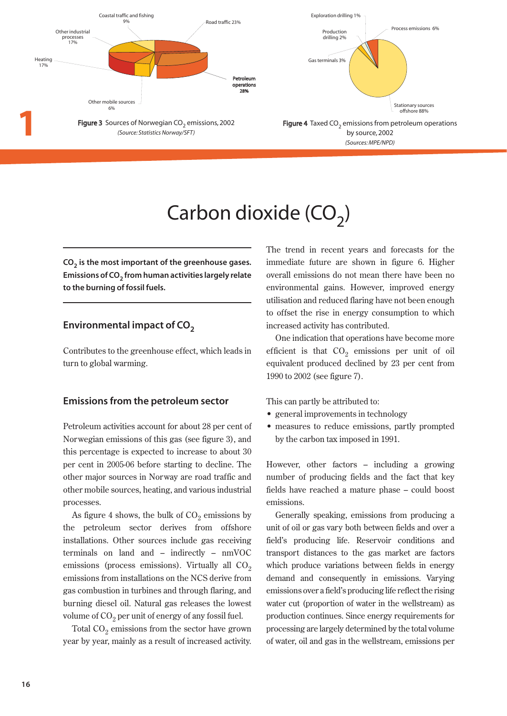

## Carbon dioxide  $(CO_2)$

**CO2 is the most important of the greenhouse gases. Emissions of CO2 from human activities largely relate to the burning of fossil fuels.**

### Environmental impact of CO<sub>2</sub>

Contributes to the greenhouse effect, which leads in turn to global warming.

### **Emissions from the petroleum sector**

Petroleum activities account for about 28 per cent of Norwegian emissions of this gas (see figure 3), and this percentage is expected to increase to about 30 per cent in 2005-06 before starting to decline. The other major sources in Norway are road traffic and other mobile sources, heating, and various industrial processes.

As figure 4 shows, the bulk of  $CO<sub>2</sub>$  emissions by the petroleum sector derives from offshore installations. Other sources include gas receiving terminals on land and – indirectly – nmVOC emissions (process emissions). Virtually all  $CO<sub>2</sub>$ emissions from installations on the NCS derive from gas combustion in turbines and through flaring, and burning diesel oil. Natural gas releases the lowest volume of  $CO<sub>2</sub>$  per unit of energy of any fossil fuel.

Total  $CO<sub>2</sub>$  emissions from the sector have grown year by year, mainly as a result of increased activity. The trend in recent years and forecasts for the immediate future are shown in figure 6. Higher overall emissions do not mean there have been no environmental gains. However, improved energy utilisation and reduced flaring have not been enough to offset the rise in energy consumption to which increased activity has contributed.

One indication that operations have become more efficient is that  $CO<sub>2</sub>$  emissions per unit of oil equivalent produced declined by 23 per cent from 1990 to 2002 (see figure 7).

This can partly be attributed to:

- general improvements in technology
- measures to reduce emissions, partly prompted by the carbon tax imposed in 1991.

However, other factors – including a growing number of producing fields and the fact that key fields have reached a mature phase – could boost emissions.

Generally speaking, emissions from producing a unit of oil or gas vary both between fields and over a field's producing life. Reservoir conditions and transport distances to the gas market are factors which produce variations between fields in energy demand and consequently in emissions. Varying emissions over a field's producing life reflect the rising water cut (proportion of water in the wellstream) as production continues. Since energy requirements for processing are largely determined by the total volume of water, oil and gas in the wellstream, emissions per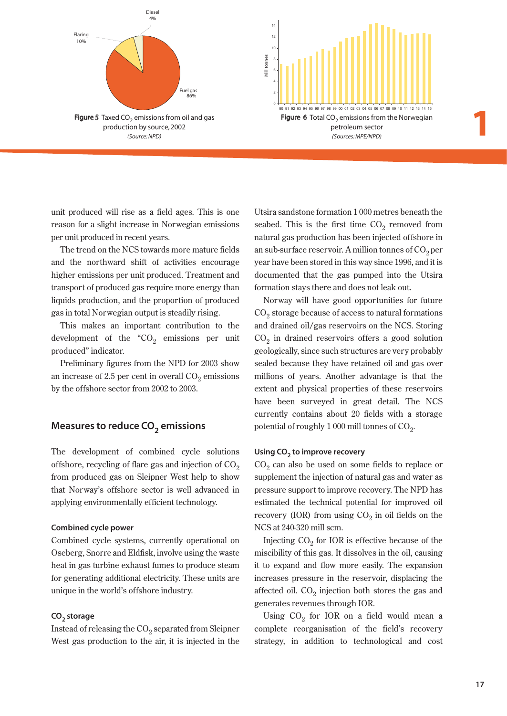

unit produced will rise as a field ages. This is one reason for a slight increase in Norwegian emissions per unit produced in recent years.

The trend on the NCS towards more mature fields and the northward shift of activities encourage higher emissions per unit produced. Treatment and transport of produced gas require more energy than liquids production, and the proportion of produced gas in total Norwegian output is steadily rising.

This makes an important contribution to the development of the " $CO<sub>2</sub>$  emissions per unit produced" indicator.

Preliminary figures from the NPD for 2003 show an increase of 2.5 per cent in overall  $CO<sub>2</sub>$  emissions by the offshore sector from 2002 to 2003.

### Measures to reduce CO<sub>2</sub> emissions

The development of combined cycle solutions offshore, recycling of flare gas and injection of  $CO<sub>2</sub>$ from produced gas on Sleipner West help to show that Norway's offshore sector is well advanced in applying environmentally efficient technology.

### **Combined cycle power**

Combined cycle systems, currently operational on Oseberg, Snorre and Eldfisk, involve using the waste heat in gas turbine exhaust fumes to produce steam for generating additional electricity. These units are unique in the world's offshore industry.

### **CO2 storage**

Instead of releasing the  $CO_2$  separated from Sleipner West gas production to the air, it is injected in the

Utsira sandstone formation 1 000 metres beneath the seabed. This is the first time  $CO<sub>2</sub>$  removed from natural gas production has been injected offshore in an sub-surface reservoir. A million tonnes of  $CO<sub>2</sub>$  per year have been stored in this way since 1996, and it is documented that the gas pumped into the Utsira formation stays there and does not leak out.

Norway will have good opportunities for future CO<sub>2</sub> storage because of access to natural formations and drained oil/gas reservoirs on the NCS. Storing CO<sub>2</sub> in drained reservoirs offers a good solution geologically, since such structures are very probably sealed because they have retained oil and gas over millions of years. Another advantage is that the extent and physical properties of these reservoirs have been surveyed in great detail. The NCS currently contains about 20 fields with a storage potential of roughly 1 000 mill tonnes of  $CO<sub>2</sub>$ .

#### Using CO<sub>2</sub> to improve recovery

 $CO<sub>2</sub>$  can also be used on some fields to replace or supplement the injection of natural gas and water as pressure support to improve recovery. The NPD has estimated the technical potential for improved oil recovery (IOR) from using  $CO_2$  in oil fields on the NCS at 240-320 mill scm.

Injecting  $CO<sub>2</sub>$  for IOR is effective because of the miscibility of this gas. It dissolves in the oil, causing it to expand and flow more easily. The expansion increases pressure in the reservoir, displacing the affected oil.  $CO<sub>2</sub>$  injection both stores the gas and generates revenues through IOR.

Using  $CO<sub>2</sub>$  for IOR on a field would mean a complete reorganisation of the field's recovery strategy, in addition to technological and cost **1**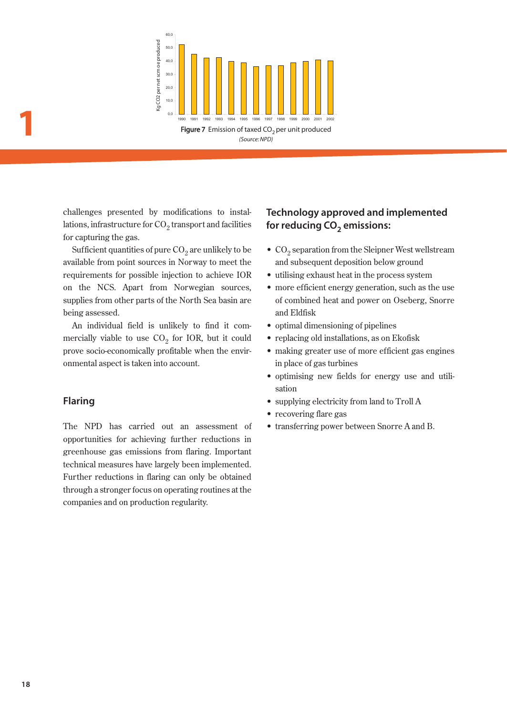

challenges presented by modifications to installations, infrastructure for  $CO_2$  transport and facilities for capturing the gas.

Sufficient quantities of pure  $CO<sub>2</sub>$  are unlikely to be available from point sources in Norway to meet the requirements for possible injection to achieve IOR on the NCS. Apart from Norwegian sources, supplies from other parts of the North Sea basin are being assessed.

An individual field is unlikely to find it commercially viable to use  $CO<sub>2</sub>$  for IOR, but it could prove socio-economically profitable when the environmental aspect is taken into account.

### **Flaring**

**1**

The NPD has carried out an assessment of opportunities for achieving further reductions in greenhouse gas emissions from flaring. Important technical measures have largely been implemented. Further reductions in flaring can only be obtained through a stronger focus on operating routines at the companies and on production regularity.

### **Technology approved and implemented** for reducing CO<sub>2</sub> emissions:

- $\bullet$  CO<sub>2</sub> separation from the Sleipner West wellstream and subsequent deposition below ground
- utilising exhaust heat in the process system
- more efficient energy generation, such as the use of combined heat and power on Oseberg, Snorre and Eldfisk
- optimal dimensioning of pipelines
- replacing old installations, as on Ekofisk
- making greater use of more efficient gas engines in place of gas turbines
- optimising new fields for energy use and utilisation
- supplying electricity from land to Troll A
- recovering flare gas
- transferring power between Snorre A and B.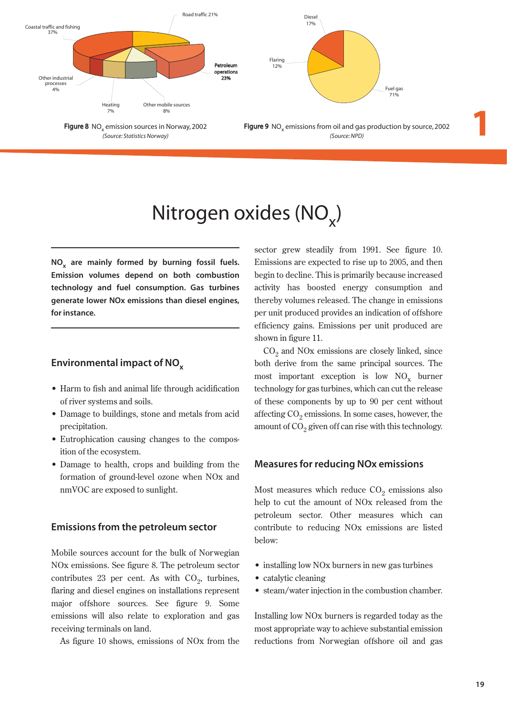

### Nitrogen oxides  $(NO<sub>x</sub>)$

**NOx are mainly formed by burning fossil fuels. Emission volumes depend on both combustion technology and fuel consumption. Gas turbines generate lower NOx emissions than diesel engines, for instance.**

### **Environmental impact of NO<sub>y</sub>**

- Harm to fish and animal life through acidification of river systems and soils.
- Damage to buildings, stone and metals from acid precipitation.
- Eutrophication causing changes to the composition of the ecosystem.
- Damage to health, crops and building from the formation of ground-level ozone when NOx and nmVOC are exposed to sunlight.

### **Emissions from the petroleum sector**

Mobile sources account for the bulk of Norwegian NOx emissions. See figure 8. The petroleum sector contributes 23 per cent. As with  $CO<sub>2</sub>$ , turbines, flaring and diesel engines on installations represent major offshore sources. See figure 9. Some emissions will also relate to exploration and gas receiving terminals on land.

As figure 10 shows, emissions of NOx from the

sector grew steadily from 1991. See figure 10. Emissions are expected to rise up to 2005, and then begin to decline. This is primarily because increased activity has boosted energy consumption and thereby volumes released. The change in emissions per unit produced provides an indication of offshore efficiency gains. Emissions per unit produced are shown in figure 11.

 $CO<sub>2</sub>$  and NOx emissions are closely linked, since both derive from the same principal sources. The most important exception is low NO<sub>y</sub> burner technology for gas turbines, which can cut the release of these components by up to 90 per cent without affecting  $CO<sub>2</sub>$  emissions. In some cases, however, the amount of  $CO<sub>2</sub>$  given off can rise with this technology.

### **Measures for reducing NOx emissions**

Most measures which reduce  $CO<sub>2</sub>$  emissions also help to cut the amount of NOx released from the petroleum sector. Other measures which can contribute to reducing NOx emissions are listed below:

- installing low NOx burners in new gas turbines
- catalytic cleaning
- steam/water injection in the combustion chamber.

Installing low NOx burners is regarded today as the most appropriate way to achieve substantial emission reductions from Norwegian offshore oil and gas **1**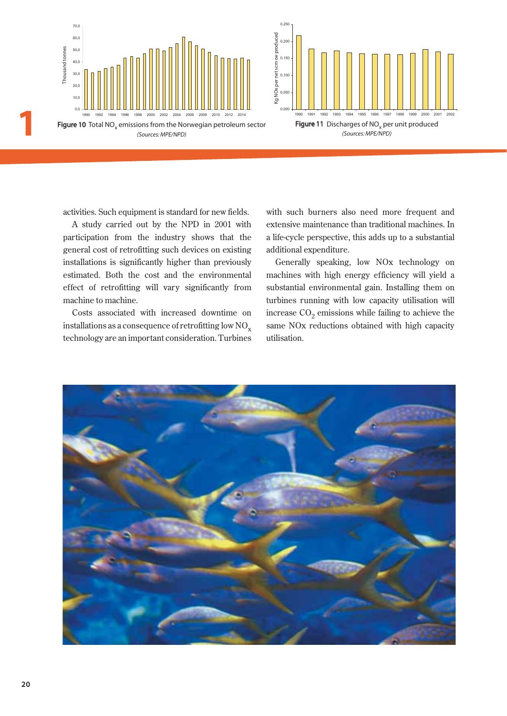

activities. Such equipment is standard for new fields.

A study carried out by the NPD in 2001 with participation from the industry shows that the general cost of retrofitting such devices on existing installations is significantly higher than previously estimated. Both the cost and the environmental effect of retrofitting will vary significantly from machine to machine.

Costs associated with increased downtime on installations as a consequence of retrofitting low  $NO<sub>x</sub>$ technology are an important consideration. Turbines with such burners also need more frequent and extensive maintenance than traditional machines. In a life-cycle perspective, this adds up to a substantial additional expenditure.

Generally speaking, low NOx technology on machines with high energy efficiency will yield a substantial environmental gain. Installing them on turbines running with low capacity utilisation will increase  $CO<sub>2</sub>$  emissions while failing to achieve the same NOx reductions obtained with high capacity utilisation.

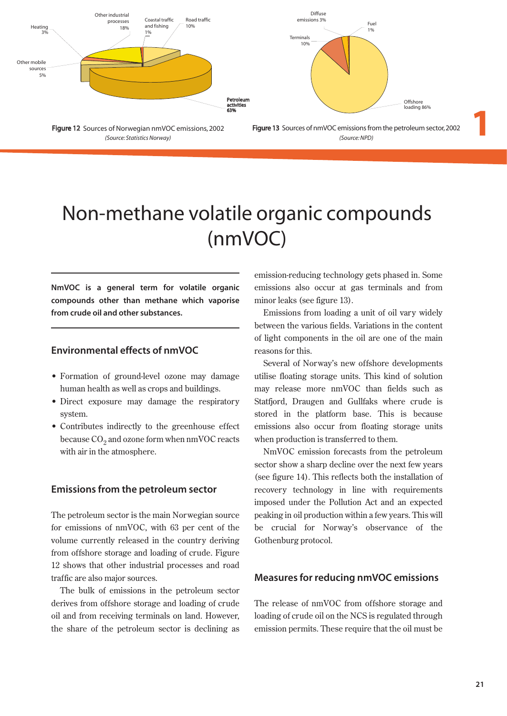

# Non-methane volatile organic compounds (nmVOC)

**NmVOC is a general term for volatile organic compounds other than methane which vaporise from crude oil and other substances.**

### **Environmental effects of nmVOC**

- Formation of ground-level ozone may damage human health as well as crops and buildings.
- Direct exposure may damage the respiratory system.
- Contributes indirectly to the greenhouse effect because  $CO<sub>2</sub>$  and ozone form when nmVOC reacts with air in the atmosphere.

### **Emissions from the petroleum sector**

The petroleum sector is the main Norwegian source for emissions of nmVOC, with 63 per cent of the volume currently released in the country deriving from offshore storage and loading of crude. Figure 12 shows that other industrial processes and road traffic are also major sources.

The bulk of emissions in the petroleum sector derives from offshore storage and loading of crude oil and from receiving terminals on land. However, the share of the petroleum sector is declining as emission-reducing technology gets phased in. Some emissions also occur at gas terminals and from minor leaks (see figure 13).

Emissions from loading a unit of oil vary widely between the various fields. Variations in the content of light components in the oil are one of the main reasons for this.

Several of Norway's new offshore developments utilise floating storage units. This kind of solution may release more nmVOC than fields such as Statfjord, Draugen and Gullfaks where crude is stored in the platform base. This is because emissions also occur from floating storage units when production is transferred to them.

NmVOC emission forecasts from the petroleum sector show a sharp decline over the next few years (see figure 14). This reflects both the installation of recovery technology in line with requirements imposed under the Pollution Act and an expected peaking in oil production within a few years. This will be crucial for Norway's observance of the Gothenburg protocol.

### **Measures for reducing nmVOC emissions**

The release of nmVOC from offshore storage and loading of crude oil on the NCS is regulated through emission permits. These require that the oil must be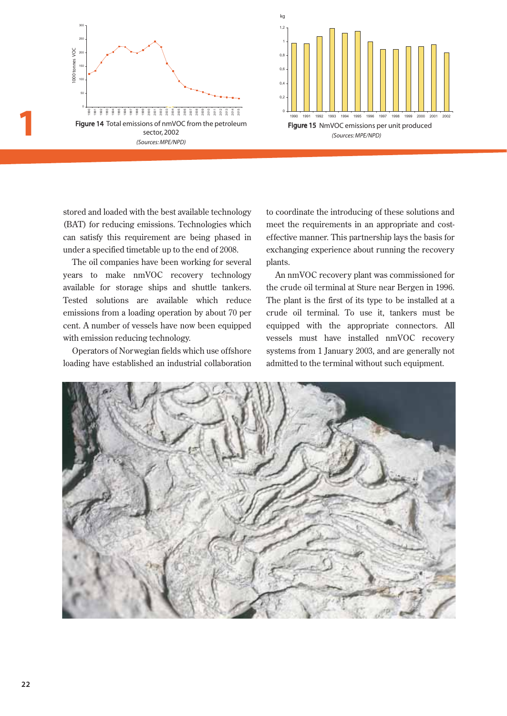



stored and loaded with the best available technology (BAT) for reducing emissions. Technologies which can satisfy this requirement are being phased in under a specified timetable up to the end of 2008.

The oil companies have been working for several years to make nmVOC recovery technology available for storage ships and shuttle tankers. Tested solutions are available which reduce emissions from a loading operation by about 70 per cent. A number of vessels have now been equipped with emission reducing technology.

Operators of Norwegian fields which use offshore loading have established an industrial collaboration to coordinate the introducing of these solutions and meet the requirements in an appropriate and costeffective manner. This partnership lays the basis for exchanging experience about running the recovery plants.

An nmVOC recovery plant was commissioned for the crude oil terminal at Sture near Bergen in 1996. The plant is the first of its type to be installed at a crude oil terminal. To use it, tankers must be equipped with the appropriate connectors. All vessels must have installed nmVOC recovery systems from 1 January 2003, and are generally not admitted to the terminal without such equipment.

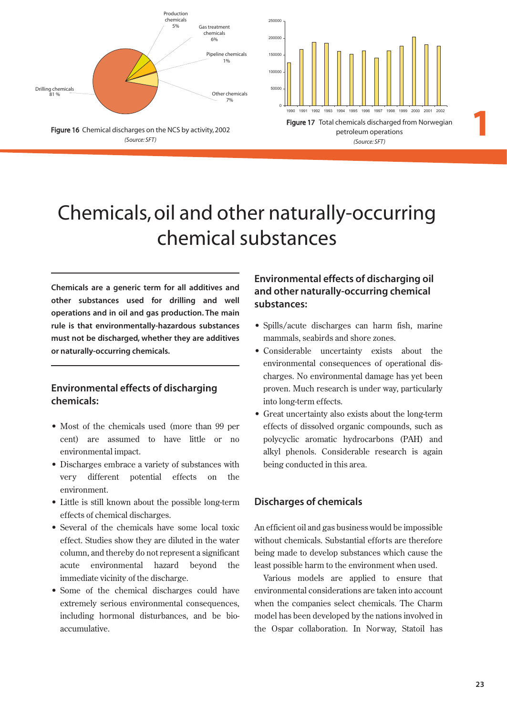

## Chemicals, oil and other naturally-occurring chemical substances

**Chemicals are a generic term for all additives and other substances used for drilling and well operations and in oil and gas production. The main rule is that environmentally-hazardous substances must not be discharged, whether they are additives or naturally-occurring chemicals.**

### **Environmental effects of discharging chemicals:**

- Most of the chemicals used (more than 99 per cent) are assumed to have little or no environmental impact.
- Discharges embrace a variety of substances with very different potential effects on the environment.
- Little is still known about the possible long-term effects of chemical discharges.
- Several of the chemicals have some local toxic effect. Studies show they are diluted in the water column, and thereby do not represent a significant acute environmental hazard beyond the immediate vicinity of the discharge.
- Some of the chemical discharges could have extremely serious environmental consequences, including hormonal disturbances, and be bioaccumulative.

### **Environmental effects of discharging oil and other naturally-occurring chemical substances:**

- Spills/acute discharges can harm fish, marine mammals, seabirds and shore zones.
- Considerable uncertainty exists about the environmental consequences of operational discharges. No environmental damage has yet been proven. Much research is under way, particularly into long-term effects.
- Great uncertainty also exists about the long-term effects of dissolved organic compounds, such as polycyclic aromatic hydrocarbons (PAH) and alkyl phenols. Considerable research is again being conducted in this area.

### **Discharges of chemicals**

An efficient oil and gas business would be impossible without chemicals. Substantial efforts are therefore being made to develop substances which cause the least possible harm to the environment when used.

Various models are applied to ensure that environmental considerations are taken into account when the companies select chemicals. The Charm model has been developed by the nations involved in the Ospar collaboration. In Norway, Statoil has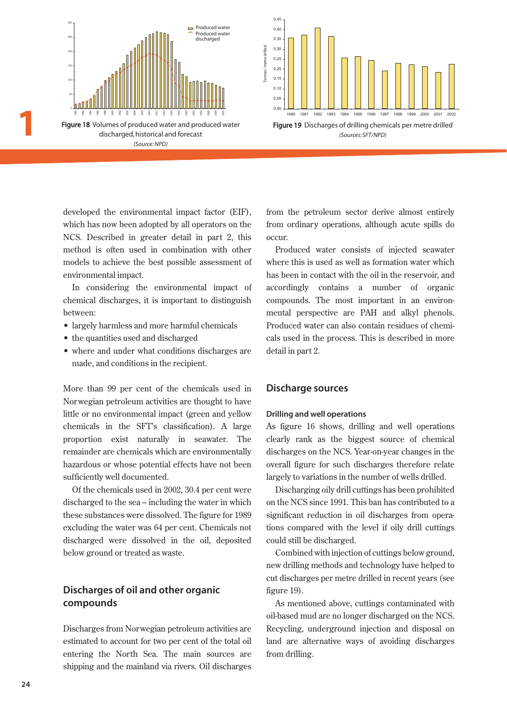

developed the environmental impact factor (EIF), which has now been adopted by all operators on the NCS. Described in greater detail in part 2, this method is often used in combination with other models to achieve the best possible assessment of environmental impact.

In considering the environmental impact of chemical discharges, it is important to distinguish between:

- largely harmless and more harmful chemicals
- the quantities used and discharged
- where and under what conditions discharges are made, and conditions in the recipient.

More than 99 per cent of the chemicals used in Norwegian petroleum activities are thought to have little or no environmental impact (green and yellow chemicals in the SFT's classification). A large proportion exist naturally in seawater. The remainder are chemicals which are environmentally hazardous or whose potential effects have not been sufficiently well documented.

Of the chemicals used in 2002, 30.4 per cent were discharged to the sea – including the water in which these substances were dissolved. The figure for 1989 excluding the water was 64 per cent. Chemicals not discharged were dissolved in the oil, deposited below ground or treated as waste.

### **Discharges of oil and other organic compounds**

Discharges from Norwegian petroleum activities are estimated to account for two per cent of the total oil entering the North Sea. The main sources are shipping and the mainland via rivers. Oil discharges from the petroleum sector derive almost entirely from ordinary operations, although acute spills do occur.

Produced water consists of injected seawater where this is used as well as formation water which has been in contact with the oil in the reservoir, and accordingly contains a number of organic compounds. The most important in an environmental perspective are PAH and alkyl phenols. Produced water can also contain residues of chemicals used in the process. This is described in more detail in part 2.

### **Discharge sources**

#### **Drilling and well operations**

As figure 16 shows, drilling and well operations clearly rank as the biggest source of chemical discharges on the NCS. Year-on-year changes in the overall figure for such discharges therefore relate largely to variations in the number of wells drilled.

Discharging oily drill cuttings has been prohibited on the NCS since 1991. This ban has contributed to a significant reduction in oil discharges from operations compared with the level if oily drill cuttings could still be discharged.

Combined with injection of cuttings below ground, new drilling methods and technology have helped to cut discharges per metre drilled in recent years (see figure 19).

As mentioned above, cuttings contaminated with oil-based mud are no longer discharged on the NCS. Recycling, underground injection and disposal on land are alternative ways of avoiding discharges from drilling.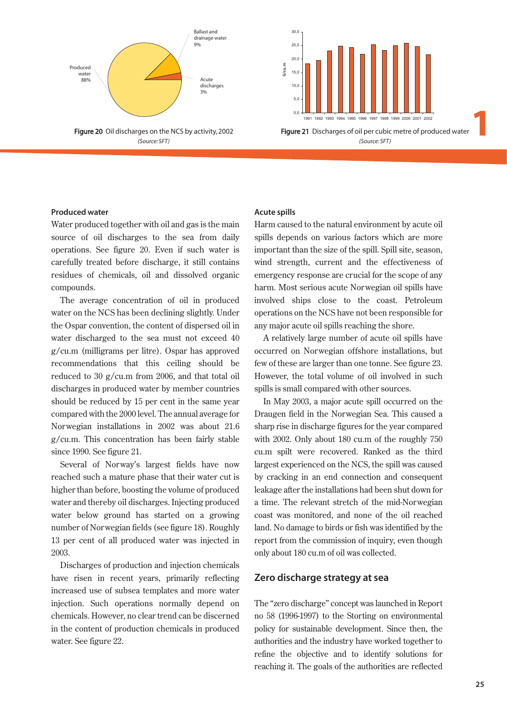

#### **Produced water**

Water produced together with oil and gas is the main source of oil discharges to the sea from daily operations. See figure 20. Even if such water is carefully treated before discharge, it still contains residues of chemicals, oil and dissolved organic compounds.

The average concentration of oil in produced water on the NCS has been declining slightly. Under the Ospar convention, the content of dispersed oil in water discharged to the sea must not exceed 40 g/cu.m (milligrams per litre). Ospar has approved recommendations that this ceiling should be reduced to 30 g/cu.m from 2006, and that total oil discharges in produced water by member countries should be reduced by 15 per cent in the same year compared with the 2000 level. The annual average for Norwegian installations in 2002 was about 21.6 g/cu.m. This concentration has been fairly stable since 1990. See figure 21.

Several of Norway's largest fields have now reached such a mature phase that their water cut is higher than before, boosting the volume of produced water and thereby oil discharges. Injecting produced water below ground has started on a growing number of Norwegian fields (see figure 18). Roughly 13 per cent of all produced water was injected in 2003.

Discharges of production and injection chemicals have risen in recent years, primarily reflecting increased use of subsea templates and more water injection. Such operations normally depend on chemicals. However, no clear trend can be discerned in the content of production chemicals in produced water. See figure 22.

#### **Acute spills**

Harm caused to the natural environment by acute oil spills depends on various factors which are more important than the size of the spill. Spill site, season, wind strength, current and the effectiveness of emergency response are crucial for the scope of any harm. Most serious acute Norwegian oil spills have involved ships close to the coast. Petroleum operations on the NCS have not been responsible for any major acute oil spills reaching the shore.

A relatively large number of acute oil spills have occurred on Norwegian offshore installations, but few of these are larger than one tonne. See figure 23. However, the total volume of oil involved in such spills is small compared with other sources.

In May 2003, a major acute spill occurred on the Draugen field in the Norwegian Sea. This caused a sharp rise in discharge figures for the year compared with 2002. Only about 180 cu.m of the roughly 750 cu.m spilt were recovered. Ranked as the third largest experienced on the NCS, the spill was caused by cracking in an end connection and consequent leakage after the installations had been shut down for a time. The relevant stretch of the mid-Norwegian coast was monitored, and none of the oil reached land. No damage to birds or fish was identified by the report from the commission of inquiry, even though only about 180 cu.m of oil was collected.

### **Zero discharge strategy at sea**

The "zero discharge" concept was launched in Report no 58 (1996-1997) to the Storting on environmental policy for sustainable development. Since then, the authorities and the industry have worked together to refine the objective and to identify solutions for reaching it. The goals of the authorities are reflected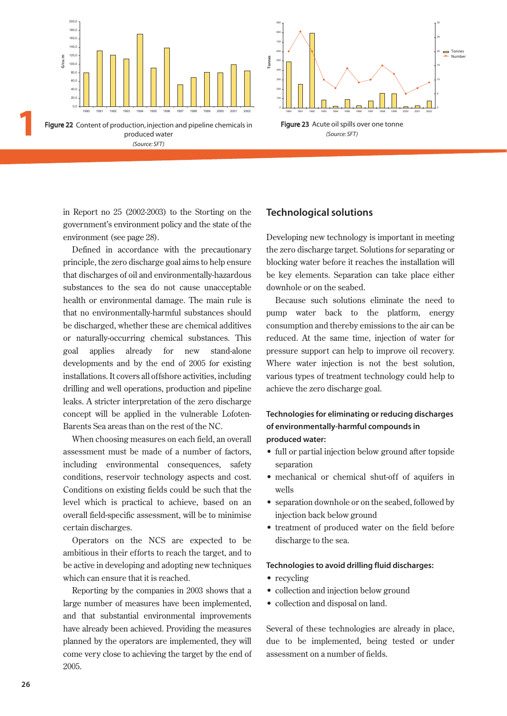

produced water *(Source: SFT)*



in Report no 25 (2002-2003) to the Storting on the government's environment policy and the state of the environment (see page 28).

Defined in accordance with the precautionary principle, the zero discharge goal aims to help ensure that discharges of oil and environmentally-hazardous substances to the sea do not cause unacceptable health or environmental damage. The main rule is that no environmentally-harmful substances should be discharged, whether these are chemical additives or naturally-occurring chemical substances. This goal applies already for new stand-alone developments and by the end of 2005 for existing installations. It covers all offshore activities, including drilling and well operations, production and pipeline leaks. A stricter interpretation of the zero discharge concept will be applied in the vulnerable Lofoten-Barents Sea areas than on the rest of the NC.

When choosing measures on each field, an overall assessment must be made of a number of factors, including environmental consequences, safety conditions, reservoir technology aspects and cost. Conditions on existing fields could be such that the level which is practical to achieve, based on an overall field-specific assessment, will be to minimise certain discharges.

Operators on the NCS are expected to be ambitious in their efforts to reach the target, and to be active in developing and adopting new techniques which can ensure that it is reached.

Reporting by the companies in 2003 shows that a large number of measures have been implemented, and that substantial environmental improvements have already been achieved. Providing the measures planned by the operators are implemented, they will come very close to achieving the target by the end of 2005.

### **Technological solutions**

Developing new technology is important in meeting the zero discharge target. Solutions for separating or blocking water before it reaches the installation will be key elements. Separation can take place either downhole or on the seabed.

Because such solutions eliminate the need to pump water back to the platform, energy consumption and thereby emissions to the air can be reduced. At the same time, injection of water for pressure support can help to improve oil recovery. Where water injection is not the best solution, various types of treatment technology could help to achieve the zero discharge goal.

### **Technologies for eliminating or reducing discharges of environmentally-harmful compounds in produced water:**

- full or partial injection below ground after topside separation
- mechanical or chemical shut-off of aquifers in wells
- separation downhole or on the seabed, followed by injection back below ground
- treatment of produced water on the field before discharge to the sea.

### **Technologies to avoid drilling fluid discharges:**

- recycling
- collection and injection below ground
- collection and disposal on land.

Several of these technologies are already in place, due to be implemented, being tested or under assessment on a number of fields.

**1**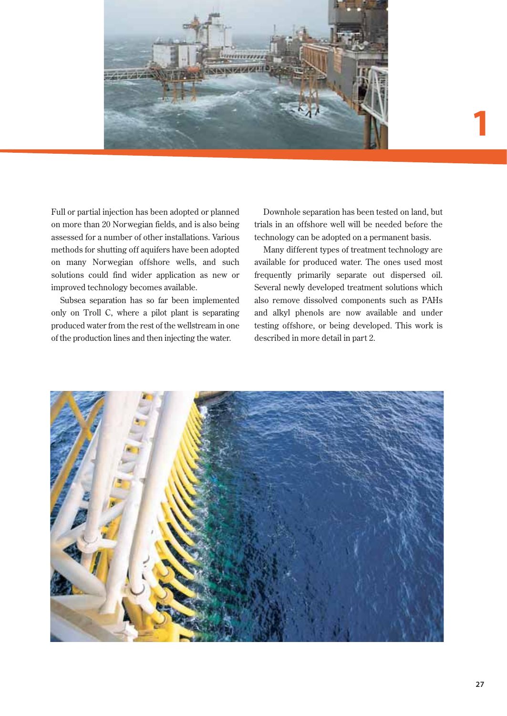

Full or partial injection has been adopted or planned on more than 20 Norwegian fields, and is also being assessed for a number of other installations. Various methods for shutting off aquifers have been adopted on many Norwegian offshore wells, and such solutions could find wider application as new or improved technology becomes available.

Subsea separation has so far been implemented only on Troll C, where a pilot plant is separating produced water from the rest of the wellstream in one of the production lines and then injecting the water.

Downhole separation has been tested on land, but trials in an offshore well will be needed before the technology can be adopted on a permanent basis.

Many different types of treatment technology are available for produced water. The ones used most frequently primarily separate out dispersed oil. Several newly developed treatment solutions which also remove dissolved components such as PAHs and alkyl phenols are now available and under testing offshore, or being developed. This work is described in more detail in part 2.



**1**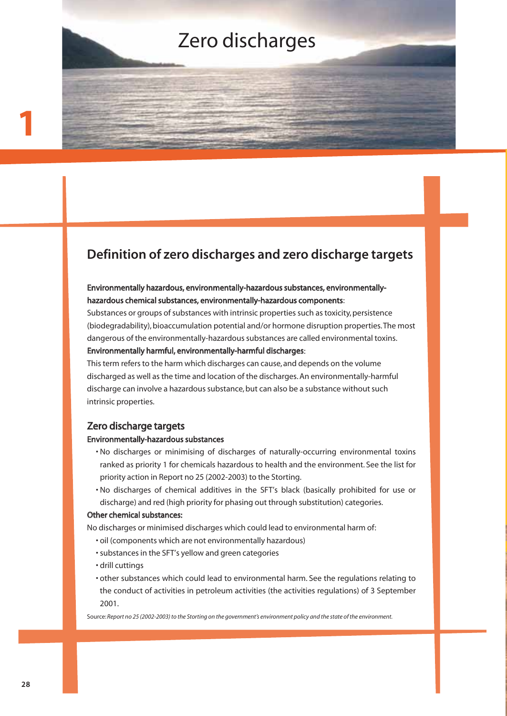

### **Definition of zero discharges and zero discharge targets**

### Environmentally hazardous, environmentally-hazardous substances, environmentallyhazardous chemical substances, environmentally-hazardous components:

Substances or groups of substances with intrinsic properties such as toxicity, persistence (biodegradability), bioaccumulation potential and/or hormone disruption properties.The most dangerous of the environmentally-hazardous substances are called environmental toxins. Environmentally harmful, environmentally-harmful discharges:

This term refers to the harm which discharges can cause, and depends on the volume discharged as well as the time and location of the discharges. An environmentally-harmful discharge can involve a hazardous substance, but can also be a substance without such intrinsic properties.

### Zero discharge targets

#### Environmentally-hazardous substances

- No discharges or minimising of discharges of naturally-occurring environmental toxins ranked as priority 1 for chemicals hazardous to health and the environment. See the list for priority action in Report no 25 (2002-2003) to the Storting.
- No discharges of chemical additives in the SFT's black (basically prohibited for use or discharge) and red (high priority for phasing out through substitution) categories.

### Other chemical substances:

No discharges or minimised discharges which could lead to environmental harm of:

- oil (components which are not environmentally hazardous)
- substances in the SFT's yellow and green categories
- drill cuttings
- other substances which could lead to environmental harm. See the regulations relating to the conduct of activities in petroleum activities (the activities regulations) of 3 September 2001.

Source:*Report no 25 (2002-2003) to the Storting on the government's environment policy and the state of the environment.*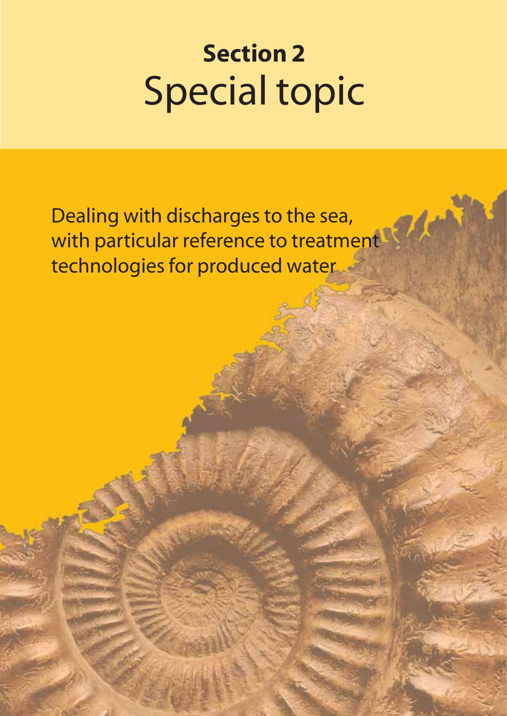# **Section 2** Special topic

Dealing with discharges to the sea, with particular reference to treatment technologies for produced water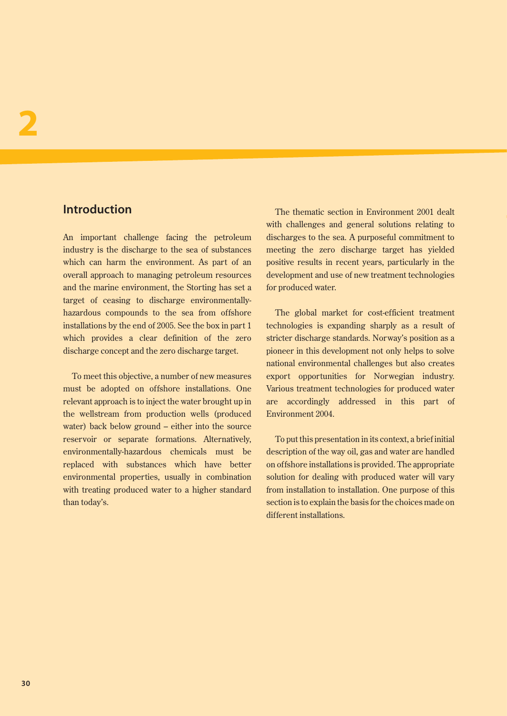### **Introduction**

An important challenge facing the petroleum industry is the discharge to the sea of substances which can harm the environment. As part of an overall approach to managing petroleum resources and the marine environment, the Storting has set a target of ceasing to discharge environmentallyhazardous compounds to the sea from offshore installations by the end of 2005. See the box in part 1 which provides a clear definition of the zero discharge concept and the zero discharge target.

To meet this objective, a number of new measures must be adopted on offshore installations. One relevant approach is to inject the water brought up in the wellstream from production wells (produced water) back below ground – either into the source reservoir or separate formations. Alternatively, environmentally-hazardous chemicals must be replaced with substances which have better environmental properties, usually in combination with treating produced water to a higher standard than today's.

The thematic section in Environment 2001 dealt with challenges and general solutions relating to discharges to the sea. A purposeful commitment to meeting the zero discharge target has yielded positive results in recent years, particularly in the development and use of new treatment technologies for produced water.

The global market for cost-efficient treatment technologies is expanding sharply as a result of stricter discharge standards. Norway's position as a pioneer in this development not only helps to solve national environmental challenges but also creates export opportunities for Norwegian industry. Various treatment technologies for produced water are accordingly addressed in this part of Environment 2004.

To put this presentation in its context, a brief initial description of the way oil, gas and water are handled on offshore installations is provided. The appropriate solution for dealing with produced water will vary from installation to installation. One purpose of this section is to explain the basis for the choices made on different installations.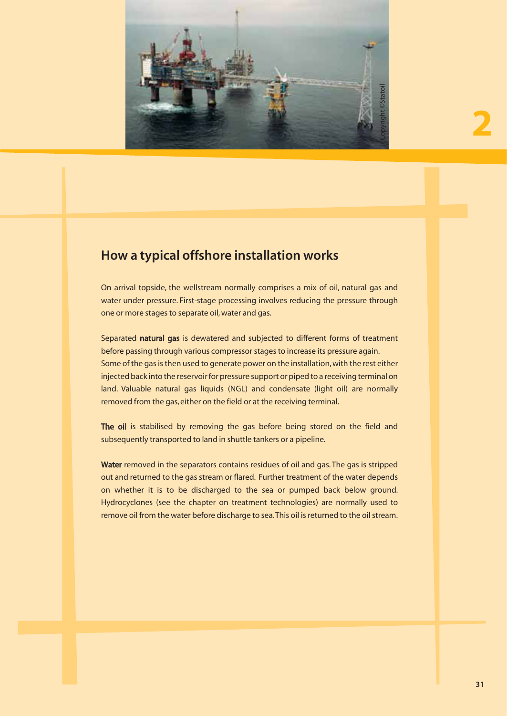

### **How a typical offshore installation works**

On arrival topside, the wellstream normally comprises a mix of oil, natural gas and water under pressure. First-stage processing involves reducing the pressure through one or more stages to separate oil, water and gas.

Separated natural gas is dewatered and subjected to different forms of treatment before passing through various compressor stages to increase its pressure again. Some of the gas is then used to generate power on the installation, with the rest either injected back into the reservoir for pressure support or piped to a receiving terminal on land. Valuable natural gas liquids (NGL) and condensate (light oil) are normally removed from the gas, either on the field or at the receiving terminal. **Example 19**<br>The water under the wellstream normally comprises a mix of oil, natural gas and<br>water under pressure. First-stage processing involves reducing the pressure through<br>one or more stages to separate oil, water and

The oil is stabilised by removing the gas before being stored on the field and subsequently transported to land in shuttle tankers or a pipeline.

Water removed in the separators contains residues of oil and gas. The gas is stripped out and returned to the gas stream or flared. Further treatment of the water depends on whether it is to be discharged to the sea or pumped back below ground. Hydrocyclones (see the chapter on treatment technologies) are normally used to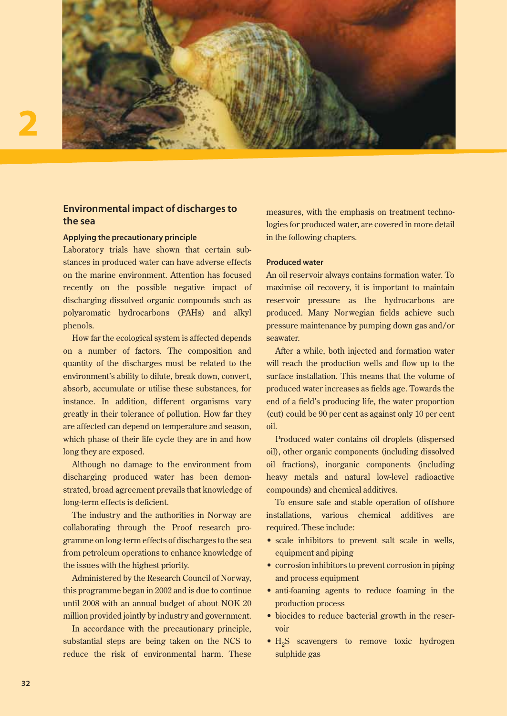

### **Environmental impact of discharges to the sea**

### **Applying the precautionary principle**

Laboratory trials have shown that certain substances in produced water can have adverse effects on the marine environment. Attention has focused recently on the possible negative impact of discharging dissolved organic compounds such as polyaromatic hydrocarbons (PAHs) and alkyl phenols.

How far the ecological system is affected depends on a number of factors. The composition and quantity of the discharges must be related to the environment's ability to dilute, break down, convert, absorb, accumulate or utilise these substances, for instance. In addition, different organisms vary greatly in their tolerance of pollution. How far they are affected can depend on temperature and season, which phase of their life cycle they are in and how long they are exposed.

Although no damage to the environment from discharging produced water has been demonstrated, broad agreement prevails that knowledge of long-term effects is deficient.

The industry and the authorities in Norway are collaborating through the Proof research programme on long-term effects of discharges to the sea from petroleum operations to enhance knowledge of the issues with the highest priority.

Administered by the Research Council of Norway, this programme began in 2002 and is due to continue until 2008 with an annual budget of about NOK 20 million provided jointly by industry and government.

In accordance with the precautionary principle, substantial steps are being taken on the NCS to reduce the risk of environmental harm. These measures, with the emphasis on treatment technologies for produced water, are covered in more detail in the following chapters.

#### **Produced water**

An oil reservoir always contains formation water. To maximise oil recovery, it is important to maintain reservoir pressure as the hydrocarbons are produced. Many Norwegian fields achieve such pressure maintenance by pumping down gas and/or seawater.

After a while, both injected and formation water will reach the production wells and flow up to the surface installation. This means that the volume of produced water increases as fields age. Towards the end of a field's producing life, the water proportion (cut) could be 90 per cent as against only 10 per cent oil.

Produced water contains oil droplets (dispersed oil), other organic components (including dissolved oil fractions), inorganic components (including heavy metals and natural low-level radioactive compounds) and chemical additives.

To ensure safe and stable operation of offshore installations, various chemical additives are required. These include:

- scale inhibitors to prevent salt scale in wells, equipment and piping
- corrosion inhibitors to prevent corrosion in piping and process equipment
- anti-foaming agents to reduce foaming in the production process
- biocides to reduce bacterial growth in the reservoir
- H<sub>2</sub>S scavengers to remove toxic hydrogen sulphide gas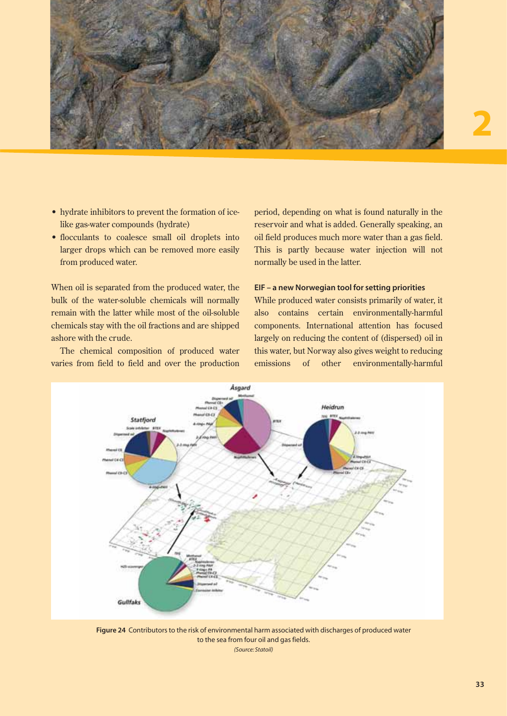

**2**

- hydrate inhibitors to prevent the formation of icelike gas-water compounds (hydrate)
- flocculants to coalesce small oil droplets into larger drops which can be removed more easily from produced water.

When oil is separated from the produced water, the bulk of the water-soluble chemicals will normally remain with the latter while most of the oil-soluble chemicals stay with the oil fractions and are shipped ashore with the crude.

The chemical composition of produced water varies from field to field and over the production

period, depending on what is found naturally in the reservoir and what is added. Generally speaking, an oil field produces much more water than a gas field. This is partly because water injection will not normally be used in the latter.

### **EIF – a new Norwegian tool for setting priorities**

While produced water consists primarily of water, it also contains certain environmentally-harmful components. International attention has focused largely on reducing the content of (dispersed) oil in this water, but Norway also gives weight to reducing emissions of other environmentally-harmful



**Figure 24** Contributors to the risk of environmental harm associated with discharges of produced water to the sea from four oil and gas fields. *(Source: Statoil)*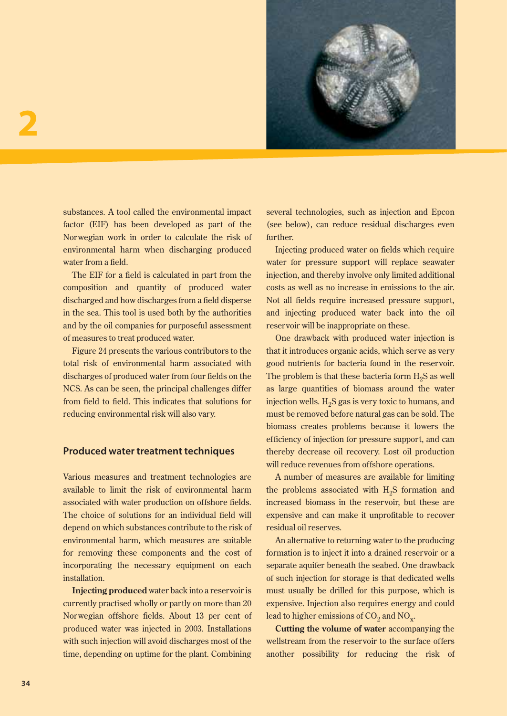

substances. A tool called the environmental impact factor (EIF) has been developed as part of the Norwegian work in order to calculate the risk of environmental harm when discharging produced water from a field.

The EIF for a field is calculated in part from the composition and quantity of produced water discharged and how discharges from a field disperse in the sea. This tool is used both by the authorities and by the oil companies for purposeful assessment of measures to treat produced water.

Figure 24 presents the various contributors to the total risk of environmental harm associated with discharges of produced water from four fields on the NCS. As can be seen, the principal challenges differ from field to field. This indicates that solutions for reducing environmental risk will also vary.

### **Produced water treatment techniques**

Various measures and treatment technologies are available to limit the risk of environmental harm associated with water production on offshore fields. The choice of solutions for an individual field will depend on which substances contribute to the risk of environmental harm, which measures are suitable for removing these components and the cost of incorporating the necessary equipment on each installation.

**Injecting produced** water back into a reservoir is currently practised wholly or partly on more than 20 Norwegian offshore fields. About 13 per cent of produced water was injected in 2003. Installations with such injection will avoid discharges most of the time, depending on uptime for the plant. Combining

several technologies, such as injection and Epcon (see below), can reduce residual discharges even further.

Injecting produced water on fields which require water for pressure support will replace seawater injection, and thereby involve only limited additional costs as well as no increase in emissions to the air. Not all fields require increased pressure support, and injecting produced water back into the oil reservoir will be inappropriate on these.

One drawback with produced water injection is that it introduces organic acids, which serve as very good nutrients for bacteria found in the reservoir. The problem is that these bacteria form  $H<sub>2</sub>S$  as well as large quantities of biomass around the water injection wells.  $H<sub>2</sub>S$  gas is very toxic to humans, and must be removed before natural gas can be sold. The biomass creates problems because it lowers the efficiency of injection for pressure support, and can thereby decrease oil recovery. Lost oil production will reduce revenues from offshore operations.

A number of measures are available for limiting the problems associated with  $H_2S$  formation and increased biomass in the reservoir, but these are expensive and can make it unprofitable to recover residual oil reserves.

An alternative to returning water to the producing formation is to inject it into a drained reservoir or a separate aquifer beneath the seabed. One drawback of such injection for storage is that dedicated wells must usually be drilled for this purpose, which is expensive. Injection also requires energy and could lead to higher emissions of  $CO<sub>2</sub>$  and  $NO<sub>x</sub>$ .

**Cutting the volume of water** accompanying the wellstream from the reservoir to the surface offers another possibility for reducing the risk of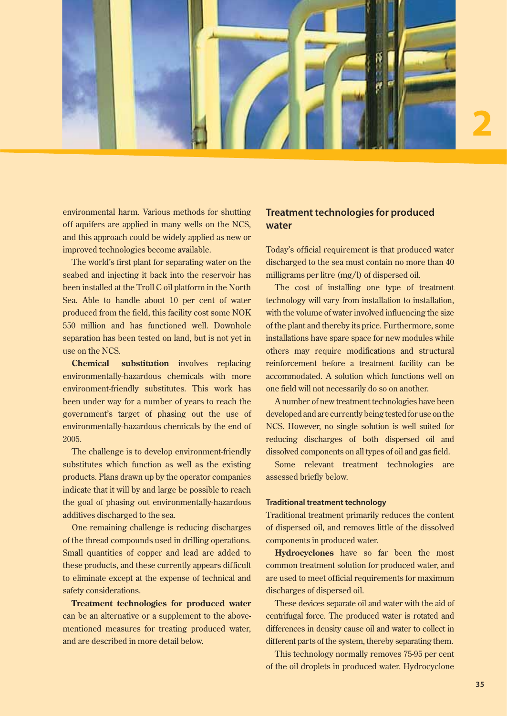

environmental harm. Various methods for shutting off aquifers are applied in many wells on the NCS, and this approach could be widely applied as new or improved technologies become available.

The world's first plant for separating water on the seabed and injecting it back into the reservoir has been installed at the Troll C oil platform in the North Sea. Able to handle about 10 per cent of water produced from the field, this facility cost some NOK 550 million and has functioned well. Downhole separation has been tested on land, but is not yet in use on the NCS.

**Chemical substitution** involves replacing environmentally-hazardous chemicals with more environment-friendly substitutes. This work has been under way for a number of years to reach the government's target of phasing out the use of environmentally-hazardous chemicals by the end of 2005.

The challenge is to develop environment-friendly substitutes which function as well as the existing products. Plans drawn up by the operator companies indicate that it will by and large be possible to reach the goal of phasing out environmentally-hazardous additives discharged to the sea.

One remaining challenge is reducing discharges of the thread compounds used in drilling operations. Small quantities of copper and lead are added to these products, and these currently appears difficult to eliminate except at the expense of technical and safety considerations.

**Treatment technologies for produced water** can be an alternative or a supplement to the abovementioned measures for treating produced water, and are described in more detail below.

### **Treatment technologies for produced water**

Today's official requirement is that produced water discharged to the sea must contain no more than 40 milligrams per litre (mg/l) of dispersed oil.

The cost of installing one type of treatment technology will vary from installation to installation, with the volume of water involved influencing the size of the plant and thereby its price. Furthermore, some installations have spare space for new modules while others may require modifications and structural reinforcement before a treatment facility can be accommodated. A solution which functions well on one field will not necessarily do so on another.

A number of new treatment technologies have been developed and are currently being tested for use on the NCS. However, no single solution is well suited for reducing discharges of both dispersed oil and dissolved components on all types of oil and gas field.

Some relevant treatment technologies are assessed briefly below.

### **Traditional treatment technology**

Traditional treatment primarily reduces the content of dispersed oil, and removes little of the dissolved components in produced water.

**Hydrocyclones** have so far been the most common treatment solution for produced water, and are used to meet official requirements for maximum discharges of dispersed oil.

These devices separate oil and water with the aid of centrifugal force. The produced water is rotated and differences in density cause oil and water to collect in different parts of the system, thereby separating them.

This technology normally removes 75-95 per cent of the oil droplets in produced water. Hydrocyclone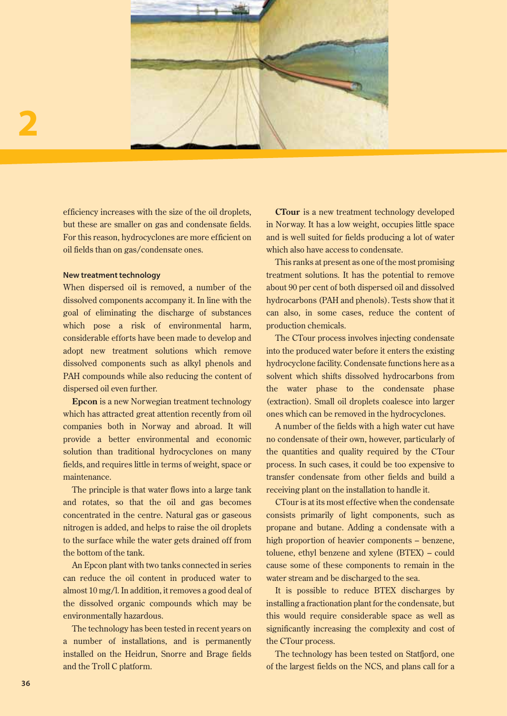

efficiency increases with the size of the oil droplets, but these are smaller on gas and condensate fields. For this reason, hydrocyclones are more efficient on oil fields than on gas/condensate ones.

### **New treatment technology**

When dispersed oil is removed, a number of the dissolved components accompany it. In line with the goal of eliminating the discharge of substances which pose a risk of environmental harm, considerable efforts have been made to develop and adopt new treatment solutions which remove dissolved components such as alkyl phenols and PAH compounds while also reducing the content of dispersed oil even further.

**Epcon** is a new Norwegian treatment technology which has attracted great attention recently from oil companies both in Norway and abroad. It will provide a better environmental and economic solution than traditional hydrocyclones on many fields, and requires little in terms of weight, space or maintenance.

The principle is that water flows into a large tank and rotates, so that the oil and gas becomes concentrated in the centre. Natural gas or gaseous nitrogen is added, and helps to raise the oil droplets to the surface while the water gets drained off from the bottom of the tank.

An Epcon plant with two tanks connected in series can reduce the oil content in produced water to almost 10 mg/l. In addition, it removes a good deal of the dissolved organic compounds which may be environmentally hazardous.

The technology has been tested in recent years on a number of installations, and is permanently installed on the Heidrun, Snorre and Brage fields and the Troll C platform.

**CTour** is a new treatment technology developed in Norway. It has a low weight, occupies little space and is well suited for fields producing a lot of water which also have access to condensate.

This ranks at present as one of the most promising treatment solutions. It has the potential to remove about 90 per cent of both dispersed oil and dissolved hydrocarbons (PAH and phenols). Tests show that it can also, in some cases, reduce the content of production chemicals.

The CTour process involves injecting condensate into the produced water before it enters the existing hydrocyclone facility. Condensate functions here as a solvent which shifts dissolved hydrocarbons from the water phase to the condensate phase (extraction). Small oil droplets coalesce into larger ones which can be removed in the hydrocyclones.

A number of the fields with a high water cut have no condensate of their own, however, particularly of the quantities and quality required by the CTour process. In such cases, it could be too expensive to transfer condensate from other fields and build a receiving plant on the installation to handle it.

CTour is at its most effective when the condensate consists primarily of light components, such as propane and butane. Adding a condensate with a high proportion of heavier components – benzene, toluene, ethyl benzene and xylene (BTEX) – could cause some of these components to remain in the water stream and be discharged to the sea.

It is possible to reduce BTEX discharges by installing a fractionation plant for the condensate, but this would require considerable space as well as significantly increasing the complexity and cost of the CTour process.

The technology has been tested on Statfjord, one of the largest fields on the NCS, and plans call for a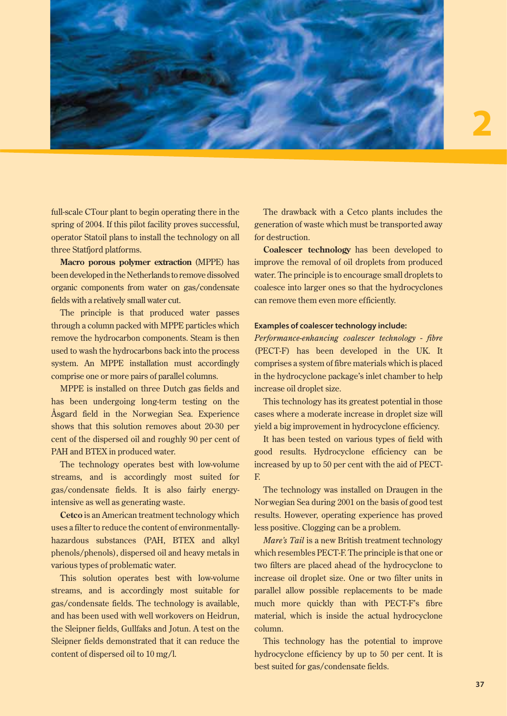

full-scale CTour plant to begin operating there in the spring of 2004. If this pilot facility proves successful, operator Statoil plans to install the technology on all three Statfjord platforms.

**Macro porous polymer extraction** (MPPE) has been developed in the Netherlands to remove dissolved organic components from water on gas/condensate fields with a relatively small water cut.

The principle is that produced water passes through a column packed with MPPE particles which remove the hydrocarbon components. Steam is then used to wash the hydrocarbons back into the process system. An MPPE installation must accordingly comprise one or more pairs of parallel columns.

MPPE is installed on three Dutch gas fields and has been undergoing long-term testing on the Åsgard field in the Norwegian Sea. Experience shows that this solution removes about 20-30 per cent of the dispersed oil and roughly 90 per cent of PAH and BTEX in produced water.

The technology operates best with low-volume streams, and is accordingly most suited for gas/condensate fields. It is also fairly energyintensive as well as generating waste.

**Cetco** is an American treatment technology which uses a filter to reduce the content of environmentallyhazardous substances (PAH, BTEX and alkyl phenols/phenols), dispersed oil and heavy metals in various types of problematic water.

This solution operates best with low-volume streams, and is accordingly most suitable for gas/condensate fields. The technology is available, and has been used with well workovers on Heidrun, the Sleipner fields, Gullfaks and Jotun. A test on the Sleipner fields demonstrated that it can reduce the content of dispersed oil to 10 mg/l.

The drawback with a Cetco plants includes the generation of waste which must be transported away for destruction.

**Coalescer technology** has been developed to improve the removal of oil droplets from produced water. The principle is to encourage small droplets to coalesce into larger ones so that the hydrocyclones can remove them even more efficiently.

### **Examples of coalescer technology include:**

*Performance-enhancing coalescer technology - fibre* (PECT-F) has been developed in the UK. It comprises a system of fibre materials which is placed in the hydrocyclone package's inlet chamber to help increase oil droplet size.

This technology has its greatest potential in those cases where a moderate increase in droplet size will yield a big improvement in hydrocyclone efficiency.

It has been tested on various types of field with good results. Hydrocyclone efficiency can be increased by up to 50 per cent with the aid of PECT-F.

The technology was installed on Draugen in the Norwegian Sea during 2001 on the basis of good test results. However, operating experience has proved less positive. Clogging can be a problem.

*Mare's Tail* is a new British treatment technology which resembles PECT-F. The principle is that one or two filters are placed ahead of the hydrocyclone to increase oil droplet size. One or two filter units in parallel allow possible replacements to be made much more quickly than with PECT-F's fibre material, which is inside the actual hydrocyclone column.

This technology has the potential to improve hydrocyclone efficiency by up to 50 per cent. It is best suited for gas/condensate fields.